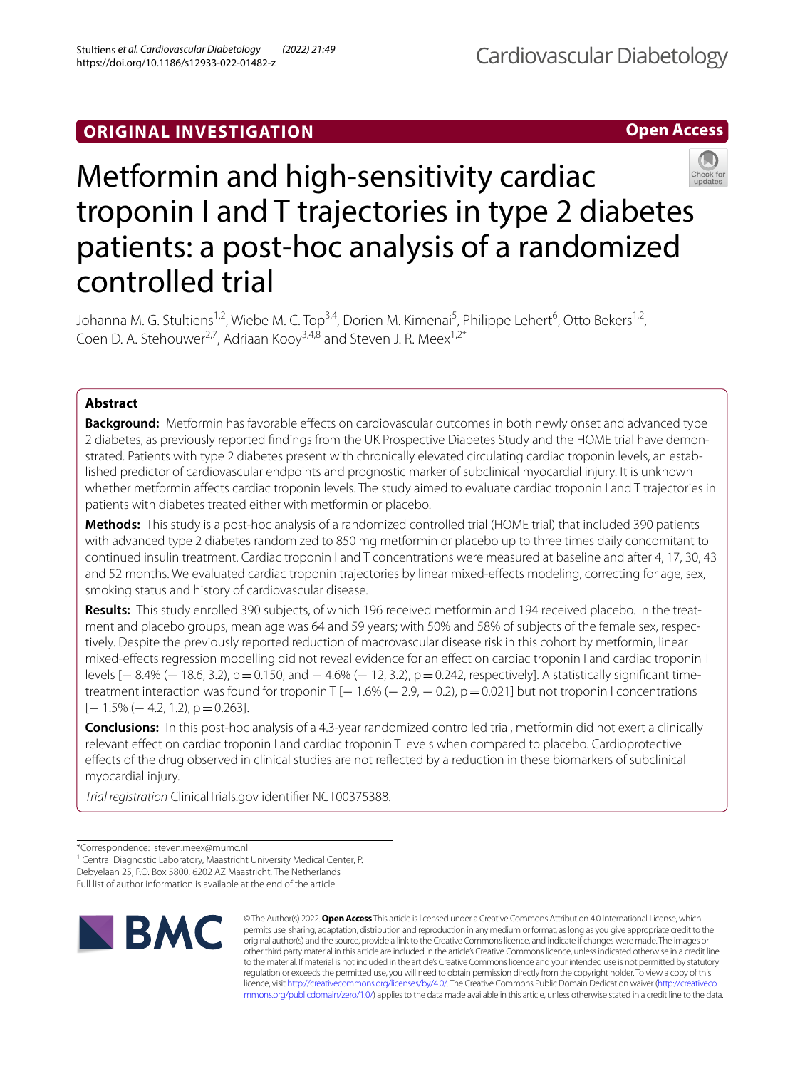# **ORIGINAL INVESTIGATION**

**Open Access**



# Metformin and high-sensitivity cardiac troponin I and T trajectories in type 2 diabetes patients: a post-hoc analysis of a randomized controlled trial

Johanna M. G. Stultiens<sup>1,2</sup>, Wiebe M. C. Top<sup>3,4</sup>, Dorien M. Kimenai<sup>5</sup>, Philippe Lehert<sup>6</sup>, Otto Bekers<sup>1,2</sup>, Coen D. A. Stehouwer<sup>2,7</sup>, Adriaan Koov<sup>3,4,8</sup> and Steven J. R. Meex<sup>1,2\*</sup>

# **Abstract**

**Background:** Metformin has favorable effects on cardiovascular outcomes in both newly onset and advanced type 2 diabetes, as previously reported fndings from the UK Prospective Diabetes Study and the HOME trial have demonstrated. Patients with type 2 diabetes present with chronically elevated circulating cardiac troponin levels, an established predictor of cardiovascular endpoints and prognostic marker of subclinical myocardial injury. It is unknown whether metformin afects cardiac troponin levels. The study aimed to evaluate cardiac troponin I and T trajectories in patients with diabetes treated either with metformin or placebo.

**Methods:** This study is a post-hoc analysis of a randomized controlled trial (HOME trial) that included 390 patients with advanced type 2 diabetes randomized to 850 mg metformin or placebo up to three times daily concomitant to continued insulin treatment. Cardiac troponin I and T concentrations were measured at baseline and after 4, 17, 30, 43 and 52 months. We evaluated cardiac troponin trajectories by linear mixed-efects modeling, correcting for age, sex, smoking status and history of cardiovascular disease.

**Results:** This study enrolled 390 subjects, of which 196 received metformin and 194 received placebo. In the treatment and placebo groups, mean age was 64 and 59 years; with 50% and 58% of subjects of the female sex, respectively. Despite the previously reported reduction of macrovascular disease risk in this cohort by metformin, linear mixed-efects regression modelling did not reveal evidence for an efect on cardiac troponin I and cardiac troponin T levels [− 8.4% (− 18.6, 3.2), p=0.150, and − 4.6% (− 12, 3.2), p=0.242, respectively]. A statistically signifcant timetreatment interaction was found for troponin T  $[-1.6\%(-2.9, -0.2), p=0.021]$  but not troponin I concentrations  $[-1.5\%(-4.2, 1.2), p=0.263]$ .

**Conclusions:** In this post-hoc analysis of a 4.3-year randomized controlled trial, metformin did not exert a clinically relevant efect on cardiac troponin I and cardiac troponin T levels when compared to placebo. Cardioprotective efects of the drug observed in clinical studies are not refected by a reduction in these biomarkers of subclinical myocardial injury.

*Trial registration* ClinicalTrials.gov identifer NCT00375388.

<sup>&</sup>lt;sup>1</sup> Central Diagnostic Laboratory, Maastricht University Medical Center, P. Debyelaan 25, P.O. Box 5800, 6202 AZ Maastricht, The Netherlands Full list of author information is available at the end of the article



© The Author(s) 2022. **Open Access** This article is licensed under a Creative Commons Attribution 4.0 International License, which permits use, sharing, adaptation, distribution and reproduction in any medium or format, as long as you give appropriate credit to the original author(s) and the source, provide a link to the Creative Commons licence, and indicate if changes were made. The images or other third party material in this article are included in the article's Creative Commons licence, unless indicated otherwise in a credit line to the material. If material is not included in the article's Creative Commons licence and your intended use is not permitted by statutory regulation or exceeds the permitted use, you will need to obtain permission directly from the copyright holder. To view a copy of this licence, visit [http://creativecommons.org/licenses/by/4.0/.](http://creativecommons.org/licenses/by/4.0/) The Creative Commons Public Domain Dedication waiver ([http://creativeco](http://creativecommons.org/publicdomain/zero/1.0/) [mmons.org/publicdomain/zero/1.0/](http://creativecommons.org/publicdomain/zero/1.0/)) applies to the data made available in this article, unless otherwise stated in a credit line to the data.

<sup>\*</sup>Correspondence: steven.meex@mumc.nl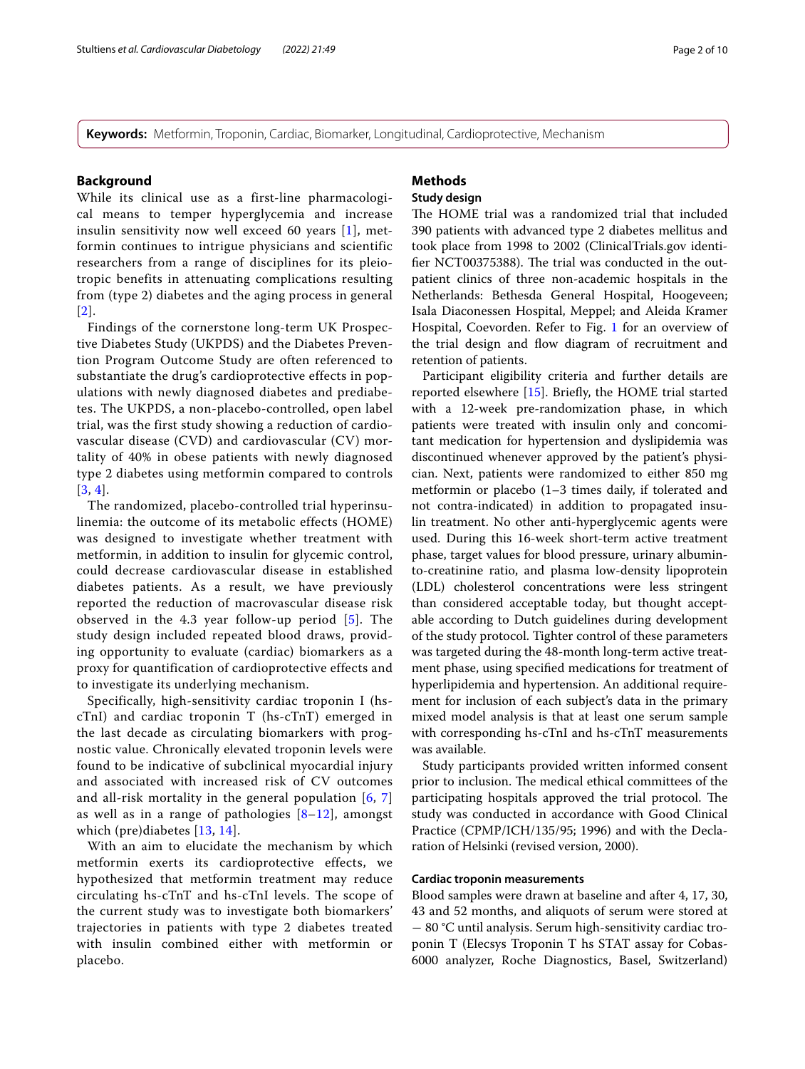**Keywords:** Metformin, Troponin, Cardiac, Biomarker, Longitudinal, Cardioprotective, Mechanism

#### **Background**

While its clinical use as a first-line pharmacological means to temper hyperglycemia and increase insulin sensitivity now well exceed 60 years [[1](#page-8-0)], metformin continues to intrigue physicians and scientific researchers from a range of disciplines for its pleiotropic benefits in attenuating complications resulting from (type 2) diabetes and the aging process in general [[2](#page-8-1)].

Findings of the cornerstone long-term UK Prospective Diabetes Study (UKPDS) and the Diabetes Prevention Program Outcome Study are often referenced to substantiate the drug's cardioprotective effects in populations with newly diagnosed diabetes and prediabetes. The UKPDS, a non-placebo-controlled, open label trial, was the first study showing a reduction of cardiovascular disease (CVD) and cardiovascular (CV) mortality of 40% in obese patients with newly diagnosed type 2 diabetes using metformin compared to controls [[3](#page-8-2), [4](#page-8-3)].

The randomized, placebo-controlled trial hyperinsulinemia: the outcome of its metabolic effects (HOME) was designed to investigate whether treatment with metformin, in addition to insulin for glycemic control, could decrease cardiovascular disease in established diabetes patients. As a result, we have previously reported the reduction of macrovascular disease risk observed in the 4.3 year follow-up period [[5\]](#page-8-4). The study design included repeated blood draws, providing opportunity to evaluate (cardiac) biomarkers as a proxy for quantification of cardioprotective effects and to investigate its underlying mechanism.

Specifically, high-sensitivity cardiac troponin I (hscTnI) and cardiac troponin T (hs-cTnT) emerged in the last decade as circulating biomarkers with prognostic value. Chronically elevated troponin levels were found to be indicative of subclinical myocardial injury and associated with increased risk of CV outcomes and all-risk mortality in the general population [[6](#page-8-5), [7](#page-8-6)] as well as in a range of pathologies  $[8-12]$  $[8-12]$  $[8-12]$ , amongst which (pre)diabetes [[13](#page-8-9), [14](#page-8-10)].

With an aim to elucidate the mechanism by which metformin exerts its cardioprotective effects, we hypothesized that metformin treatment may reduce circulating hs-cTnT and hs-cTnI levels. The scope of the current study was to investigate both biomarkers' trajectories in patients with type 2 diabetes treated with insulin combined either with metformin or placebo.

# **Methods**

# **Study design**

The HOME trial was a randomized trial that included 390 patients with advanced type 2 diabetes mellitus and took place from 1998 to 2002 (ClinicalTrials.gov identifier NCT00375388). The trial was conducted in the outpatient clinics of three non-academic hospitals in the Netherlands: Bethesda General Hospital, Hoogeveen; Isala Diaconessen Hospital, Meppel; and Aleida Kramer Hospital, Coevorden. Refer to Fig. [1](#page-2-0) for an overview of the trial design and fow diagram of recruitment and retention of patients.

Participant eligibility criteria and further details are reported elsewhere [\[15](#page-8-11)]. Briefy, the HOME trial started with a 12-week pre-randomization phase, in which patients were treated with insulin only and concomitant medication for hypertension and dyslipidemia was discontinued whenever approved by the patient's physician. Next, patients were randomized to either 850 mg metformin or placebo (1–3 times daily, if tolerated and not contra-indicated) in addition to propagated insulin treatment. No other anti-hyperglycemic agents were used. During this 16-week short-term active treatment phase, target values for blood pressure, urinary albuminto-creatinine ratio, and plasma low-density lipoprotein (LDL) cholesterol concentrations were less stringent than considered acceptable today, but thought acceptable according to Dutch guidelines during development of the study protocol. Tighter control of these parameters was targeted during the 48-month long-term active treatment phase, using specifed medications for treatment of hyperlipidemia and hypertension. An additional requirement for inclusion of each subject's data in the primary mixed model analysis is that at least one serum sample with corresponding hs-cTnI and hs-cTnT measurements was available.

Study participants provided written informed consent prior to inclusion. The medical ethical committees of the participating hospitals approved the trial protocol. The study was conducted in accordance with Good Clinical Practice (CPMP/ICH/135/95; 1996) and with the Declaration of Helsinki (revised version, 2000).

# **Cardiac troponin measurements**

Blood samples were drawn at baseline and after 4, 17, 30, 43 and 52 months, and aliquots of serum were stored at − 80 °C until analysis. Serum high-sensitivity cardiac troponin T (Elecsys Troponin T hs STAT assay for Cobas-6000 analyzer, Roche Diagnostics, Basel, Switzerland)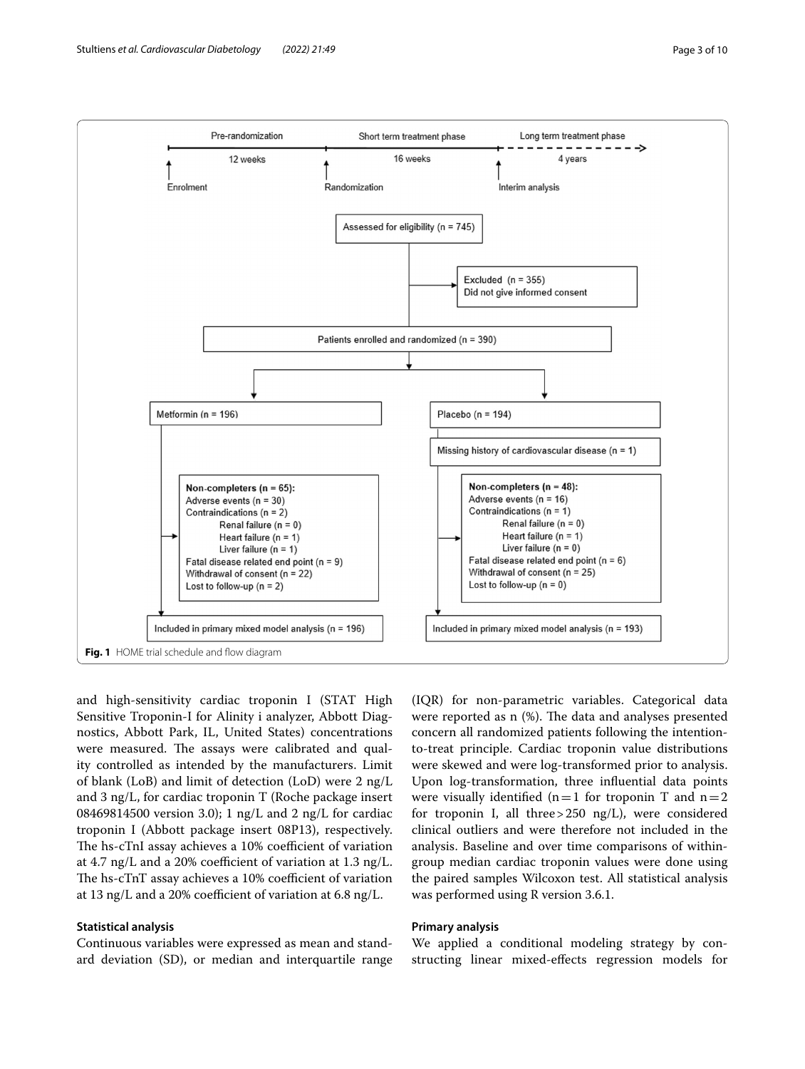

<span id="page-2-0"></span>and high-sensitivity cardiac troponin I (STAT High Sensitive Troponin-I for Alinity i analyzer, Abbott Diagnostics, Abbott Park, IL, United States) concentrations were measured. The assays were calibrated and quality controlled as intended by the manufacturers. Limit of blank (LoB) and limit of detection (LoD) were 2 ng/L and 3 ng/L, for cardiac troponin T (Roche package insert 08469814500 version 3.0); 1 ng/L and 2 ng/L for cardiac troponin I (Abbott package insert 08P13), respectively. The hs-cTnI assay achieves a 10% coefficient of variation at 4.7 ng/L and a 20% coefficient of variation at 1.3 ng/L. The hs-cTnT assay achieves a 10% coefficient of variation at 13 ng/L and a 20% coefficient of variation at  $6.8$  ng/L.

# **Statistical analysis**

Continuous variables were expressed as mean and standard deviation (SD), or median and interquartile range

(IQR) for non-parametric variables. Categorical data were reported as  $n$  (%). The data and analyses presented concern all randomized patients following the intentionto-treat principle. Cardiac troponin value distributions were skewed and were log-transformed prior to analysis. Upon log-transformation, three infuential data points were visually identified ( $n=1$  for troponin T and  $n=2$ for troponin I, all three>250 ng/L), were considered clinical outliers and were therefore not included in the analysis. Baseline and over time comparisons of withingroup median cardiac troponin values were done using the paired samples Wilcoxon test. All statistical analysis was performed using R version 3.6.1.

# **Primary analysis**

We applied a conditional modeling strategy by constructing linear mixed-efects regression models for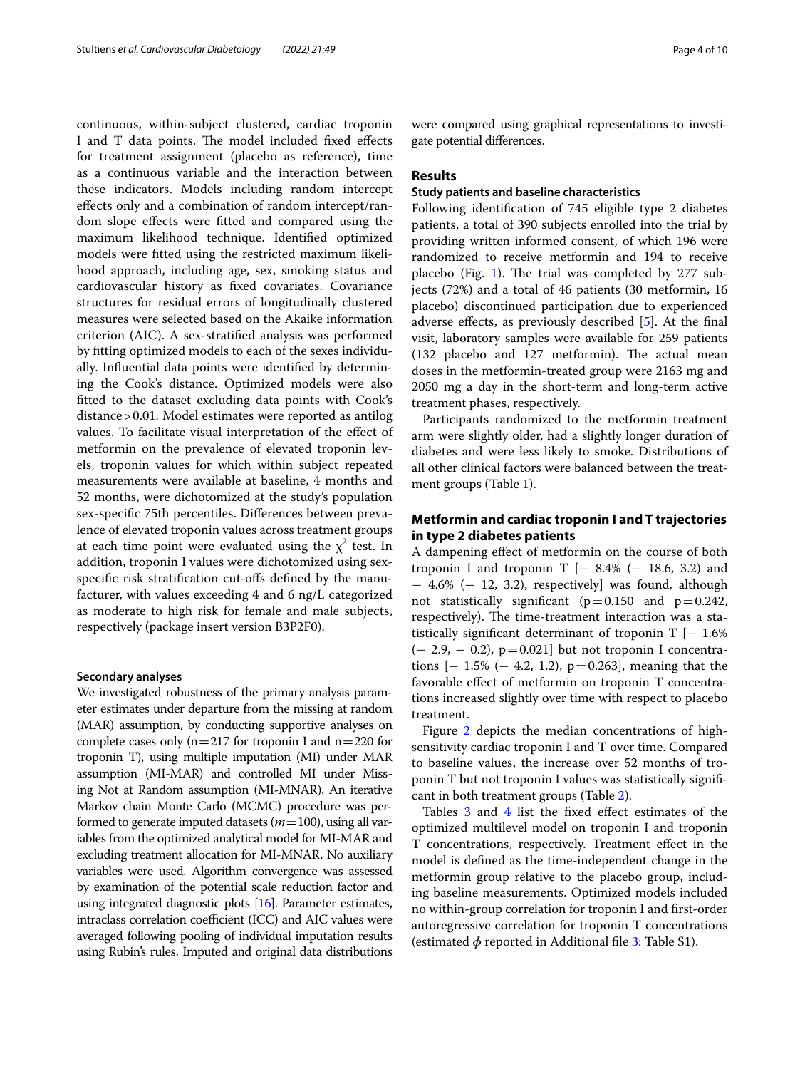continuous, within-subject clustered, cardiac troponin I and T data points. The model included fixed effects for treatment assignment (placebo as reference), time as a continuous variable and the interaction between these indicators. Models including random intercept efects only and a combination of random intercept/random slope efects were ftted and compared using the maximum likelihood technique. Identifed optimized models were ftted using the restricted maximum likelihood approach, including age, sex, smoking status and cardiovascular history as fxed covariates. Covariance structures for residual errors of longitudinally clustered measures were selected based on the Akaike information criterion (AIC). A sex-stratifed analysis was performed by ftting optimized models to each of the sexes individually. Infuential data points were identifed by determining the Cook's distance. Optimized models were also ftted to the dataset excluding data points with Cook's distance>0.01. Model estimates were reported as antilog values. To facilitate visual interpretation of the efect of metformin on the prevalence of elevated troponin levels, troponin values for which within subject repeated measurements were available at baseline, 4 months and 52 months, were dichotomized at the study's population sex-specifc 75th percentiles. Diferences between prevalence of elevated troponin values across treatment groups at each time point were evaluated using the  $\chi^2$  test. In addition, troponin I values were dichotomized using sexspecifc risk stratifcation cut-ofs defned by the manufacturer, with values exceeding 4 and 6 ng/L categorized as moderate to high risk for female and male subjects, respectively (package insert version B3P2F0).

#### **Secondary analyses**

We investigated robustness of the primary analysis parameter estimates under departure from the missing at random (MAR) assumption, by conducting supportive analyses on complete cases only ( $n=217$  for troponin I and  $n=220$  for troponin T), using multiple imputation (MI) under MAR assumption (MI-MAR) and controlled MI under Missing Not at Random assumption (MI-MNAR). An iterative Markov chain Monte Carlo (MCMC) procedure was performed to generate imputed datasets (*m*=100), using all variables from the optimized analytical model for MI-MAR and excluding treatment allocation for MI-MNAR. No auxiliary variables were used. Algorithm convergence was assessed by examination of the potential scale reduction factor and using integrated diagnostic plots [\[16](#page-8-12)]. Parameter estimates, intraclass correlation coefficient (ICC) and AIC values were averaged following pooling of individual imputation results using Rubin's rules. Imputed and original data distributions were compared using graphical representations to investigate potential diferences.

### **Results**

#### **Study patients and baseline characteristics**

Following identifcation of 745 eligible type 2 diabetes patients, a total of 390 subjects enrolled into the trial by providing written informed consent, of which 196 were randomized to receive metformin and 194 to receive placebo (Fig. [1](#page-2-0)). The trial was completed by  $277$  subjects (72%) and a total of 46 patients (30 metformin, 16 placebo) discontinued participation due to experienced adverse efects, as previously described [\[5](#page-8-4)]. At the fnal visit, laboratory samples were available for 259 patients  $(132$  placebo and  $127$  metformin). The actual mean doses in the metformin-treated group were 2163 mg and 2050 mg a day in the short-term and long-term active treatment phases, respectively.

Participants randomized to the metformin treatment arm were slightly older, had a slightly longer duration of diabetes and were less likely to smoke. Distributions of all other clinical factors were balanced between the treatment groups (Table [1\)](#page-4-0).

# **Metformin and cardiac troponin I and T trajectories in type 2 diabetes patients**

A dampening efect of metformin on the course of both troponin I and troponin T  $[- 8.4\% (- 18.6, 3.2)$  and − 4.6% (− 12, 3.2), respectively] was found, although not statistically significant ( $p=0.150$  and  $p=0.242$ , respectively). The time-treatment interaction was a statistically significant determinant of troponin  $T$  [− 1.6%  $(-2.9, -0.2), p=0.021]$  but not troponin I concentrations  $[-1.5\%(-4.2, 1.2), p=0.263]$ , meaning that the favorable efect of metformin on troponin T concentrations increased slightly over time with respect to placebo treatment.

Figure [2](#page-4-1) depicts the median concentrations of highsensitivity cardiac troponin I and T over time. Compared to baseline values, the increase over 52 months of troponin T but not troponin I values was statistically signifcant in both treatment groups (Table [2](#page-5-0)).

Tables [3](#page-5-1) and [4](#page-5-2) list the fixed effect estimates of the optimized multilevel model on troponin I and troponin T concentrations, respectively. Treatment efect in the model is defned as the time-independent change in the metformin group relative to the placebo group, including baseline measurements. Optimized models included no within-group correlation for troponin I and frst-order autoregressive correlation for troponin T concentrations (estimated  $\phi$  reported in Additional file [3:](#page-7-0) Table S1).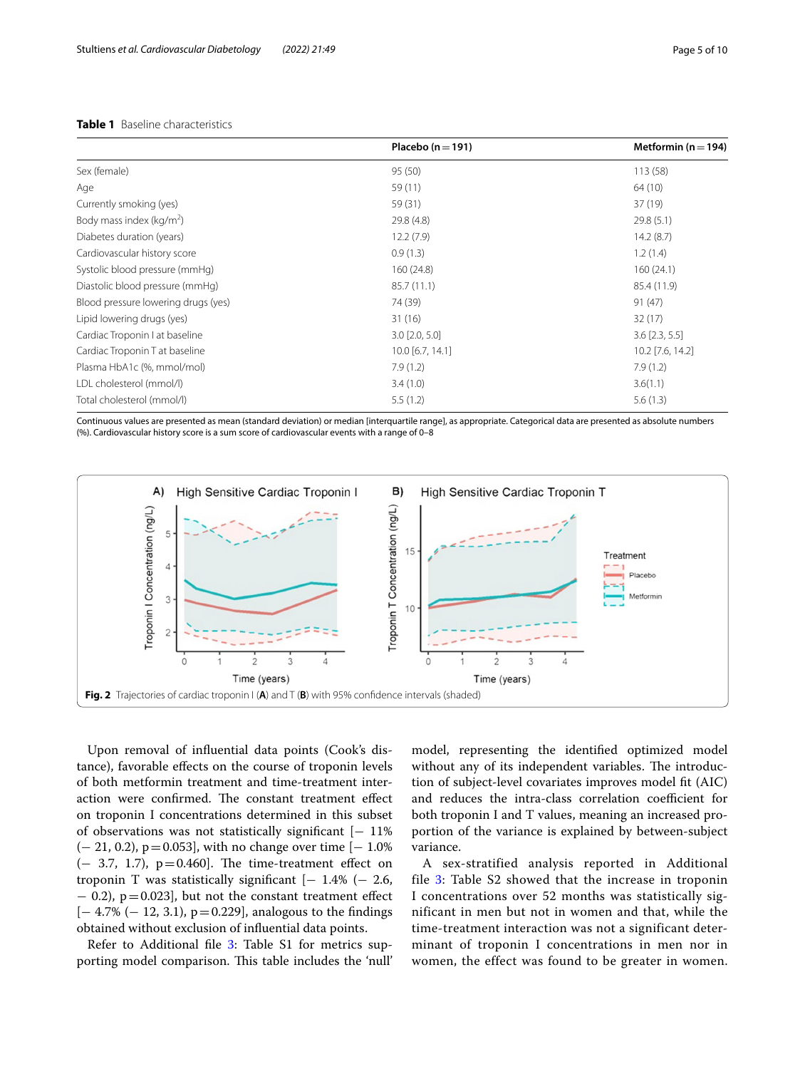# <span id="page-4-0"></span>**Table 1** Baseline characteristics

| Placebo ( $n = 191$ ) | Metformin ( $n = 194$ ) |
|-----------------------|-------------------------|
| 95 (50)               | 113(58)                 |
| 59 (11)               | 64 (10)                 |
| 59 (31)               | 37(19)                  |
| 29.8 (4.8)            | 29.8(5.1)               |
| 12.2(7.9)             | 14.2(8.7)               |
| 0.9(1.3)              | 1.2(1.4)                |
| 160(24.8)             | 160(24.1)               |
| 85.7 (11.1)           | 85.4 (11.9)             |
| 74 (39)               | 91(47)                  |
| 31(16)                | 32(17)                  |
| $3.0$ [2.0, 5.0]      | $3.6$ [2.3, 5.5]        |
| 10.0 [6.7, 14.1]      | 10.2 [7.6, 14.2]        |
| 7.9(1.2)              | 7.9(1.2)                |
| 3.4(1.0)              | 3.6(1.1)                |
| 5.5(1.2)              | 5.6(1.3)                |
|                       |                         |

Continuous values are presented as mean (standard deviation) or median [interquartile range], as appropriate. Categorical data are presented as absolute numbers (%). Cardiovascular history score is a sum score of cardiovascular events with a range of 0–8



<span id="page-4-1"></span>Upon removal of infuential data points (Cook's distance), favorable efects on the course of troponin levels of both metformin treatment and time-treatment interaction were confirmed. The constant treatment effect on troponin I concentrations determined in this subset of observations was not statistically signifcant [− 11% (− 21, 0.2), p=0.053], with no change over time [− 1.0%  $(-3.7, 1.7)$ ,  $p=0.460$ . The time-treatment effect on troponin T was statistically significant  $[-1.4\%(-2.6,$ − 0.2), p=0.023], but not the constant treatment efect  $[-4.7\%(-12, 3.1), p=0.229]$ , analogous to the findings obtained without exclusion of infuential data points.

Refer to Additional file [3](#page-7-0): Table S1 for metrics supporting model comparison. This table includes the 'null'

model, representing the identifed optimized model without any of its independent variables. The introduction of subject-level covariates improves model ft (AIC) and reduces the intra-class correlation coefficient for both troponin I and T values, meaning an increased proportion of the variance is explained by between-subject variance.

A sex-stratified analysis reported in Additional file [3](#page-7-0): Table S2 showed that the increase in troponin I concentrations over 52 months was statistically significant in men but not in women and that, while the time-treatment interaction was not a significant determinant of troponin I concentrations in men nor in women, the effect was found to be greater in women.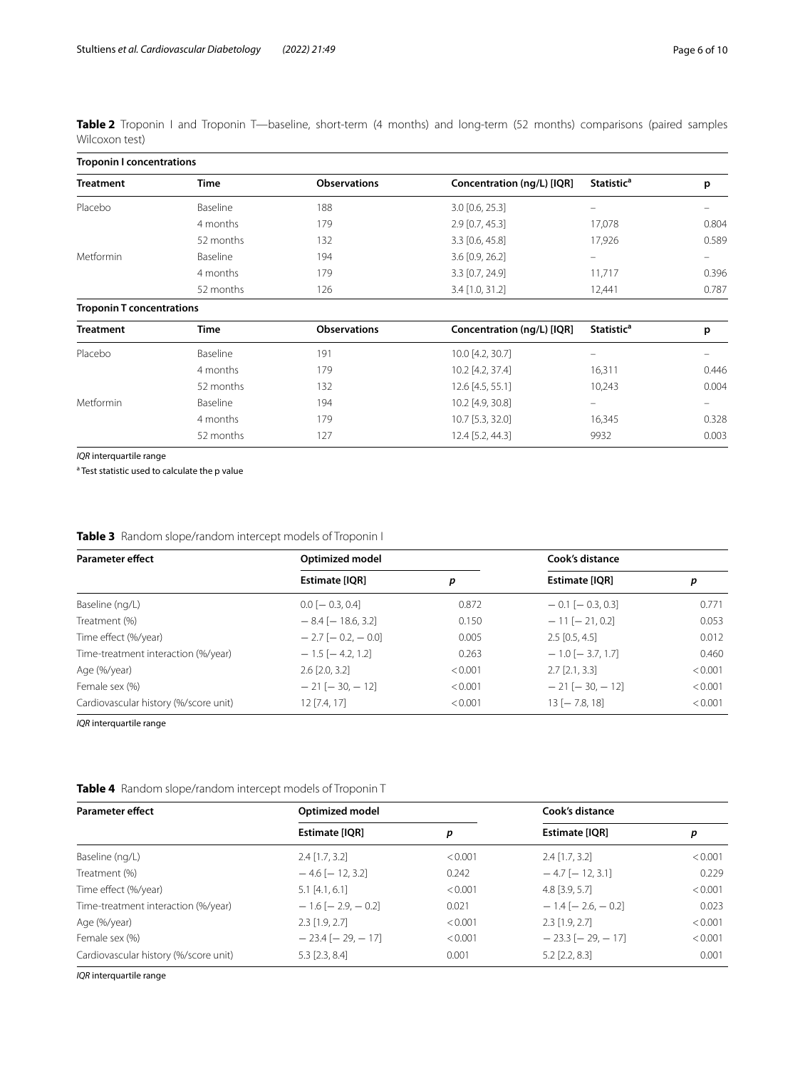<span id="page-5-0"></span>

|                |  |  |  |  |  | Table 2 Troponin I and Troponin T—baseline, short-term (4 months) and long-term (52 months) comparisons (paired samples |  |
|----------------|--|--|--|--|--|-------------------------------------------------------------------------------------------------------------------------|--|
| Wilcoxon test) |  |  |  |  |  |                                                                                                                         |  |

| <b>Troponin I concentrations</b> |                     |                            |                              |       |  |  |  |
|----------------------------------|---------------------|----------------------------|------------------------------|-------|--|--|--|
| <b>Time</b>                      | <b>Observations</b> | Concentration (ng/L) [IQR] | <b>Statistic<sup>a</sup></b> | p     |  |  |  |
| Baseline                         | 188                 | 3.0 [0.6, 25.3]            |                              |       |  |  |  |
| 4 months                         | 179                 | $2.9$ [0.7, 45.3]          | 17,078                       | 0.804 |  |  |  |
| 52 months                        | 132                 | 3.3 [0.6, 45.8]            | 17,926                       | 0.589 |  |  |  |
| Baseline                         | 194                 | 3.6 [0.9, 26.2]            | -                            |       |  |  |  |
| 4 months                         | 179                 | 3.3 [0.7, 24.9]            | 11,717                       | 0.396 |  |  |  |
| 52 months                        | 126                 | 3.4 [1.0, 31.2]            | 12,441                       | 0.787 |  |  |  |
| <b>Troponin T concentrations</b> |                     |                            |                              |       |  |  |  |
| <b>Time</b>                      | <b>Observations</b> | Concentration (ng/L) [IQR] | <b>Statistic<sup>a</sup></b> | p     |  |  |  |
| Baseline                         | 191                 | 10.0 [4.2, 30.7]           |                              |       |  |  |  |
| 4 months                         | 179                 | 10.2 [4.2, 37.4]           | 16,311                       | 0.446 |  |  |  |
| 52 months                        | 132                 | $12.6$ [4.5, 55.1]         | 10,243                       | 0.004 |  |  |  |
| Baseline                         | 194                 | 10.2 [4.9, 30.8]           | -                            |       |  |  |  |
| 4 months                         | 179                 | 10.7 [5.3, 32.0]           | 16,345                       | 0.328 |  |  |  |
| 52 months                        | 127                 | 12.4 [5.2, 44.3]           | 9932                         | 0.003 |  |  |  |
|                                  |                     |                            |                              |       |  |  |  |

*IQR* interquartile range

<sup>a</sup> Test statistic used to calculate the p value

<span id="page-5-1"></span>

| <b>Table 3</b> Random slope/random intercept models of Troponin I |  |
|-------------------------------------------------------------------|--|
|                                                                   |  |

| <b>Parameter effect</b>               | Optimized model            |         | Cook's distance         |         |  |
|---------------------------------------|----------------------------|---------|-------------------------|---------|--|
|                                       | Estimate [IQR]             | p       | <b>Estimate [IQR]</b>   | р       |  |
| Baseline (ng/L)                       | $0.0[-0.3, 0.4]$           | 0.872   | $-0.1$ [ $-0.3, 0.3$ ]  | 0.771   |  |
| Treatment (%)                         | $-8.4$ [ $-18.6$ , 3.2]    | 0.150   | $-11[-21, 0.2]$         | 0.053   |  |
| Time effect (%/year)                  | $-2.7$ [ $-0.2$ , $-0.0$ ] | 0.005   | $2.5$ [0.5, 4.5]        | 0.012   |  |
| Time-treatment interaction (%/year)   | $-1.5$ [ $-4.2$ , 1.2]     | 0.263   | $-1.0$ [ $-3.7, 1.7$ ]  | 0.460   |  |
| Age (%/year)                          | $2.6$ [ $2.0, 3.2$ ]       | < 0.001 | $2.7$ [2.1, 3.3]        | < 0.001 |  |
| Female sex (%)                        | $-21$ [ $-30$ , $-12$ ]    | < 0.001 | $-21$ [ $-30$ , $-12$ ] | < 0.001 |  |
| Cardiovascular history (%/score unit) | $12$ [7.4, 17]             | < 0.001 | $13$ [ $-7.8$ , 18]     | < 0.001 |  |

*IQR* interquartile range

<span id="page-5-2"></span>

| <b>Parameter effect</b>               | <b>Optimized model</b>     |         | Cook's distance            |         |  |
|---------------------------------------|----------------------------|---------|----------------------------|---------|--|
|                                       | Estimate [IQR]             | р       | Estimate [IQR]             | р       |  |
| Baseline (ng/L)                       | $2.4$ [1.7, 3.2]           | < 0.001 | $2.4$ [1.7, 3.2]           | < 0.001 |  |
| Treatment (%)                         | $-4.6$ [ $-12, 3.2$ ]      | 0.242   | $-4.7$ [ $-12, 3.1$ ]      | 0.229   |  |
| Time effect (%/year)                  | $5.1$ [4.1, 6.1]           | < 0.001 | $4.8$ [3.9, 5.7]           | < 0.001 |  |
| Time-treatment interaction (%/year)   | $-1.6$ [ $-2.9$ , $-0.2$ ] | 0.021   | $-1.4$ [ $-2.6$ , $-0.2$ ] | 0.023   |  |
| Age (%/year)                          | $2.3$ [1.9, 2.7]           | < 0.001 | $2.3$ [1.9, 2.7]           | < 0.001 |  |
| Female sex (%)                        | $-23.4$ [ $-29$ , $-17$ ]  | < 0.001 | $-23.3$ [ $-29$ , $-17$ ]  | < 0.001 |  |
| Cardiovascular history (%/score unit) | $5.3$ [2.3, 8.4]           | 0.001   | $5.2$ $[2.2, 8.3]$         | 0.001   |  |

*IQR* interquartile range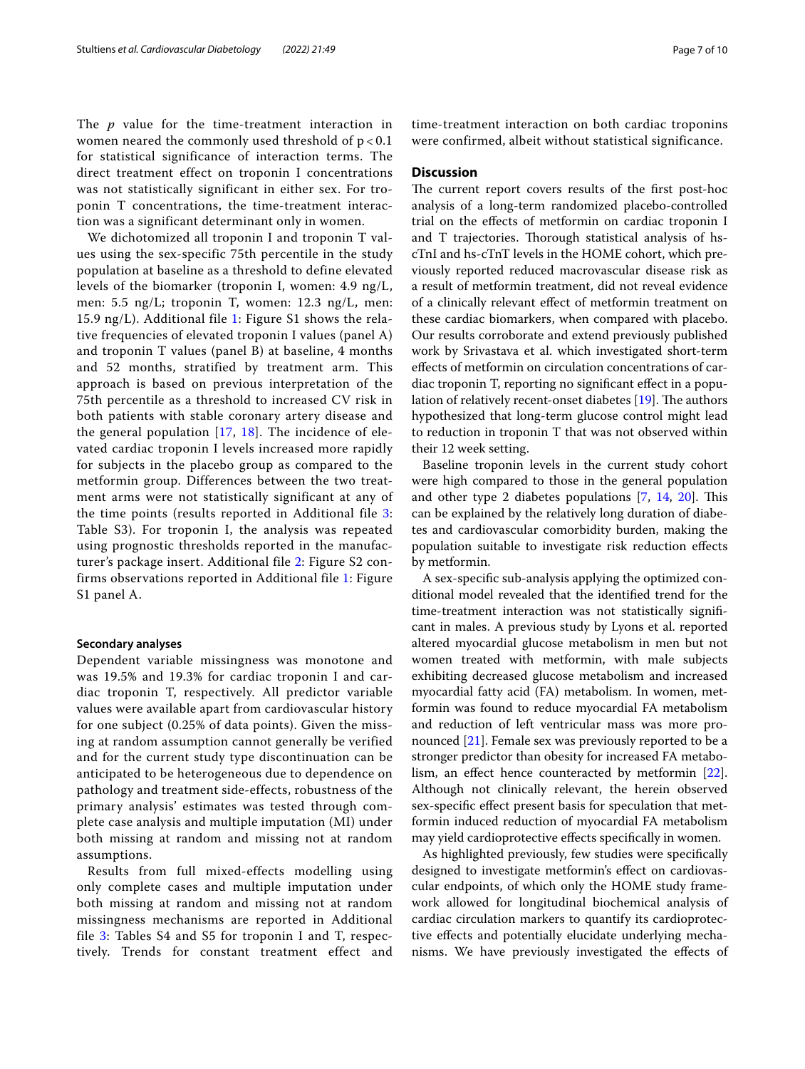The *p* value for the time-treatment interaction in women neared the commonly used threshold of  $p < 0.1$ for statistical significance of interaction terms. The direct treatment effect on troponin I concentrations was not statistically significant in either sex. For troponin T concentrations, the time-treatment interaction was a significant determinant only in women.

We dichotomized all troponin I and troponin T values using the sex-specific 75th percentile in the study population at baseline as a threshold to define elevated levels of the biomarker (troponin I, women: 4.9 ng/L, men: 5.5 ng/L; troponin T, women: 12.3 ng/L, men: [1](#page-7-1)5.9 ng/L). Additional file 1: Figure S1 shows the relative frequencies of elevated troponin I values (panel A) and troponin T values (panel B) at baseline, 4 months and 52 months, stratified by treatment arm. This approach is based on previous interpretation of the 75th percentile as a threshold to increased CV risk in both patients with stable coronary artery disease and the general population [[17](#page-8-13), [18\]](#page-8-14). The incidence of elevated cardiac troponin I levels increased more rapidly for subjects in the placebo group as compared to the metformin group. Differences between the two treatment arms were not statistically significant at any of the time points (results reported in Additional file [3](#page-7-0): Table S3). For troponin I, the analysis was repeated using prognostic thresholds reported in the manufacturer's package insert. Additional file [2](#page-7-2): Figure S2 confirms observations reported in Additional file [1:](#page-7-1) Figure S1 panel A.

### **Secondary analyses**

Dependent variable missingness was monotone and was 19.5% and 19.3% for cardiac troponin I and cardiac troponin T, respectively. All predictor variable values were available apart from cardiovascular history for one subject (0.25% of data points). Given the missing at random assumption cannot generally be verified and for the current study type discontinuation can be anticipated to be heterogeneous due to dependence on pathology and treatment side-effects, robustness of the primary analysis' estimates was tested through complete case analysis and multiple imputation (MI) under both missing at random and missing not at random assumptions.

Results from full mixed-effects modelling using only complete cases and multiple imputation under both missing at random and missing not at random missingness mechanisms are reported in Additional file  $3$ : Tables S4 and S5 for troponin I and T, respectively. Trends for constant treatment effect and time-treatment interaction on both cardiac troponins were confirmed, albeit without statistical significance.

# **Discussion**

The current report covers results of the first post-hoc analysis of a long-term randomized placebo-controlled trial on the efects of metformin on cardiac troponin I and T trajectories. Thorough statistical analysis of hscTnI and hs-cTnT levels in the HOME cohort, which previously reported reduced macrovascular disease risk as a result of metformin treatment, did not reveal evidence of a clinically relevant efect of metformin treatment on these cardiac biomarkers, when compared with placebo. Our results corroborate and extend previously published work by Srivastava et al. which investigated short-term efects of metformin on circulation concentrations of cardiac troponin T, reporting no signifcant efect in a population of relatively recent-onset diabetes  $[19]$  $[19]$ . The authors hypothesized that long-term glucose control might lead to reduction in troponin T that was not observed within their 12 week setting.

Baseline troponin levels in the current study cohort were high compared to those in the general population and other type 2 diabetes populations  $[7, 14, 20]$  $[7, 14, 20]$  $[7, 14, 20]$  $[7, 14, 20]$  $[7, 14, 20]$ . This can be explained by the relatively long duration of diabetes and cardiovascular comorbidity burden, making the population suitable to investigate risk reduction efects by metformin.

A sex-specifc sub-analysis applying the optimized conditional model revealed that the identifed trend for the time-treatment interaction was not statistically signifcant in males. A previous study by Lyons et al. reported altered myocardial glucose metabolism in men but not women treated with metformin, with male subjects exhibiting decreased glucose metabolism and increased myocardial fatty acid (FA) metabolism. In women, metformin was found to reduce myocardial FA metabolism and reduction of left ventricular mass was more pronounced [[21\]](#page-8-17). Female sex was previously reported to be a stronger predictor than obesity for increased FA metabolism, an efect hence counteracted by metformin [\[22](#page-8-18)]. Although not clinically relevant, the herein observed sex-specifc efect present basis for speculation that metformin induced reduction of myocardial FA metabolism may yield cardioprotective efects specifcally in women.

As highlighted previously, few studies were specifcally designed to investigate metformin's effect on cardiovascular endpoints, of which only the HOME study framework allowed for longitudinal biochemical analysis of cardiac circulation markers to quantify its cardioprotective efects and potentially elucidate underlying mechanisms. We have previously investigated the efects of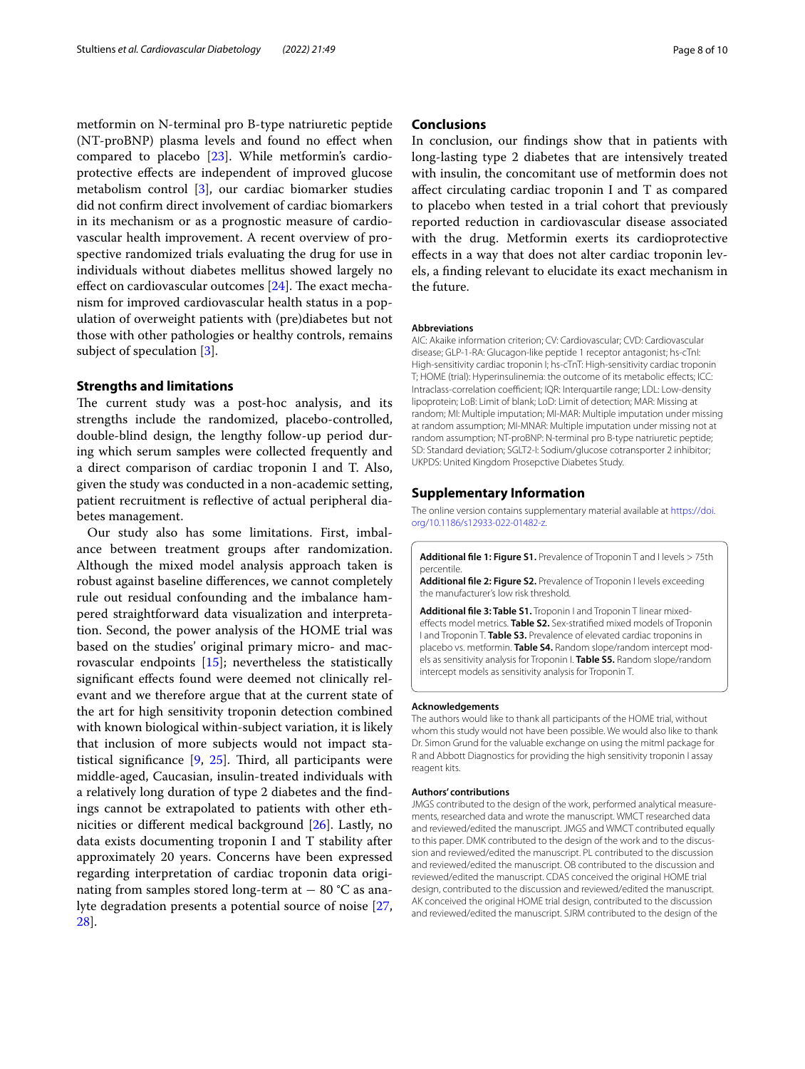metformin on N-terminal pro B-type natriuretic peptide (NT-proBNP) plasma levels and found no efect when compared to placebo [\[23](#page-8-19)]. While metformin's cardioprotective efects are independent of improved glucose metabolism control [[3\]](#page-8-2), our cardiac biomarker studies did not confrm direct involvement of cardiac biomarkers in its mechanism or as a prognostic measure of cardiovascular health improvement. A recent overview of prospective randomized trials evaluating the drug for use in individuals without diabetes mellitus showed largely no effect on cardiovascular outcomes  $[24]$ . The exact mechanism for improved cardiovascular health status in a population of overweight patients with (pre)diabetes but not those with other pathologies or healthy controls, remains subject of speculation [\[3](#page-8-2)].

#### **Strengths and limitations**

The current study was a post-hoc analysis, and its strengths include the randomized, placebo-controlled, double-blind design, the lengthy follow-up period during which serum samples were collected frequently and a direct comparison of cardiac troponin I and T. Also, given the study was conducted in a non-academic setting, patient recruitment is refective of actual peripheral diabetes management.

Our study also has some limitations. First, imbalance between treatment groups after randomization. Although the mixed model analysis approach taken is robust against baseline diferences, we cannot completely rule out residual confounding and the imbalance hampered straightforward data visualization and interpretation. Second, the power analysis of the HOME trial was based on the studies' original primary micro- and macrovascular endpoints [\[15](#page-8-11)]; nevertheless the statistically significant effects found were deemed not clinically relevant and we therefore argue that at the current state of the art for high sensitivity troponin detection combined with known biological within-subject variation, it is likely that inclusion of more subjects would not impact statistical significance  $[9, 25]$  $[9, 25]$  $[9, 25]$  $[9, 25]$ . Third, all participants were middle-aged, Caucasian, insulin-treated individuals with a relatively long duration of type 2 diabetes and the fndings cannot be extrapolated to patients with other ethnicities or diferent medical background [[26](#page-9-1)]. Lastly, no data exists documenting troponin I and T stability after approximately 20 years. Concerns have been expressed regarding interpretation of cardiac troponin data originating from samples stored long-term at  $-80$  °C as analyte degradation presents a potential source of noise [\[27](#page-9-2), [28\]](#page-9-3).

# **Conclusions**

In conclusion, our fndings show that in patients with long-lasting type 2 diabetes that are intensively treated with insulin, the concomitant use of metformin does not afect circulating cardiac troponin I and T as compared to placebo when tested in a trial cohort that previously reported reduction in cardiovascular disease associated with the drug. Metformin exerts its cardioprotective efects in a way that does not alter cardiac troponin levels, a fnding relevant to elucidate its exact mechanism in the future.

#### **Abbreviations**

AIC: Akaike information criterion; CV: Cardiovascular; CVD: Cardiovascular disease; GLP-1-RA: Glucagon-like peptide 1 receptor antagonist; hs-cTnI: High-sensitivity cardiac troponin I; hs-cTnT: High-sensitivity cardiac troponin T; HOME (trial): Hyperinsulinemia: the outcome of its metabolic efects; ICC: Intraclass-correlation coefficient; IQR: Interquartile range; LDL: Low-density lipoprotein; LoB: Limit of blank; LoD: Limit of detection; MAR: Missing at random; MI: Multiple imputation; MI-MAR: Multiple imputation under missing at random assumption; MI-MNAR: Multiple imputation under missing not at random assumption; NT-proBNP: N-terminal pro B-type natriuretic peptide; SD: Standard deviation; SGLT2-I: Sodium/glucose cotransporter 2 inhibitor; UKPDS: United Kingdom Prosepctive Diabetes Study.

#### **Supplementary Information**

The online version contains supplementary material available at [https://doi.](https://doi.org/10.1186/s12933-022-01482-z) [org/10.1186/s12933-022-01482-z.](https://doi.org/10.1186/s12933-022-01482-z)

<span id="page-7-1"></span>**Additional fle 1: Figure S1.** Prevalence of Troponin T and I levels > 75th percentile.

<span id="page-7-2"></span><span id="page-7-0"></span>**Additional fle 2: Figure S2.** Prevalence of Troponin I levels exceeding the manufacturer's low risk threshold.

**Additional fle 3: Table S1.** Troponin I and Troponin T linear mixedefects model metrics. **Table S2.** Sex-stratifed mixed models of Troponin I and Troponin T. **Table S3.** Prevalence of elevated cardiac troponins in placebo vs. metformin. **Table S4.** Random slope/random intercept models as sensitivity analysis for Troponin I. **Table S5.** Random slope/random intercept models as sensitivity analysis for Troponin T.

#### **Acknowledgements**

The authors would like to thank all participants of the HOME trial, without whom this study would not have been possible. We would also like to thank Dr. Simon Grund for the valuable exchange on using the mitml package for R and Abbott Diagnostics for providing the high sensitivity troponin I assay reagent kits.

#### **Authors' contributions**

JMGS contributed to the design of the work, performed analytical measurements, researched data and wrote the manuscript. WMCT researched data and reviewed/edited the manuscript. JMGS and WMCT contributed equally to this paper. DMK contributed to the design of the work and to the discussion and reviewed/edited the manuscript. PL contributed to the discussion and reviewed/edited the manuscript. OB contributed to the discussion and reviewed/edited the manuscript. CDAS conceived the original HOME trial design, contributed to the discussion and reviewed/edited the manuscript. AK conceived the original HOME trial design, contributed to the discussion and reviewed/edited the manuscript. SJRM contributed to the design of the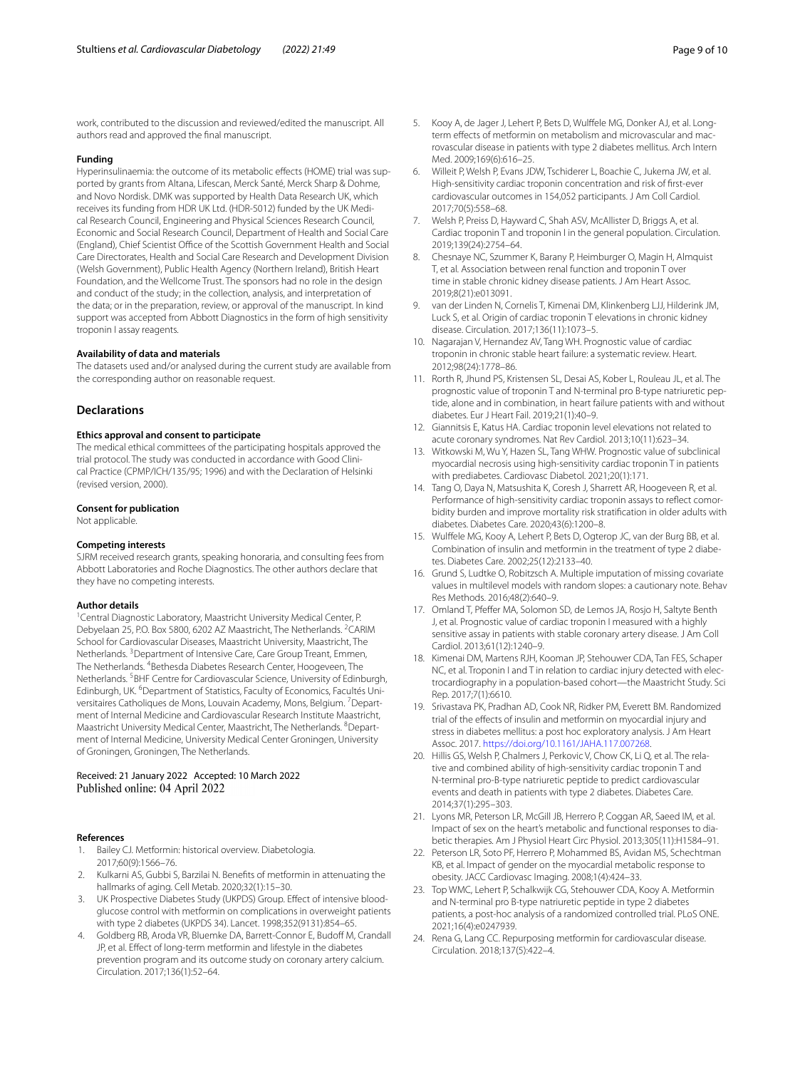work, contributed to the discussion and reviewed/edited the manuscript. All authors read and approved the fnal manuscript.

#### **Funding**

Hyperinsulinaemia: the outcome of its metabolic efects (HOME) trial was supported by grants from Altana, Lifescan, Merck Santé, Merck Sharp & Dohme, and Novo Nordisk. DMK was supported by Health Data Research UK, which receives its funding from HDR UK Ltd. (HDR-5012) funded by the UK Medical Research Council, Engineering and Physical Sciences Research Council, Economic and Social Research Council, Department of Health and Social Care (England), Chief Scientist Office of the Scottish Government Health and Social Care Directorates, Health and Social Care Research and Development Division (Welsh Government), Public Health Agency (Northern Ireland), British Heart Foundation, and the Wellcome Trust. The sponsors had no role in the design and conduct of the study; in the collection, analysis, and interpretation of the data; or in the preparation, review, or approval of the manuscript. In kind support was accepted from Abbott Diagnostics in the form of high sensitivity troponin I assay reagents.

#### **Availability of data and materials**

The datasets used and/or analysed during the current study are available from the corresponding author on reasonable request.

### **Declarations**

#### **Ethics approval and consent to participate**

The medical ethical committees of the participating hospitals approved the trial protocol. The study was conducted in accordance with Good Clinical Practice (CPMP/ICH/135/95; 1996) and with the Declaration of Helsinki (revised version, 2000).

#### **Consent for publication**

Not applicable.

#### **Competing interests**

SJRM received research grants, speaking honoraria, and consulting fees from Abbott Laboratories and Roche Diagnostics. The other authors declare that they have no competing interests.

#### **Author details**

<sup>1</sup> Central Diagnostic Laboratory, Maastricht University Medical Center, P. Debyelaan 25, P.O. Box 5800, 6202 AZ Maastricht, The Netherlands. <sup>2</sup>CARIM School for Cardiovascular Diseases, Maastricht University, Maastricht, The Netherlands. <sup>3</sup> Department of Intensive Care, Care Group Treant, Emmen, The Netherlands. <sup>4</sup>Bethesda Diabetes Research Center, Hoogeveen, The Netherlands. <sup>5</sup>BHF Centre for Cardiovascular Science, University of Edinburgh, Edinburgh, UK. <sup>6</sup>Department of Statistics, Faculty of Economics, Facultés Universitaires Catholiques de Mons, Louvain Academy, Mons, Belgium. <sup>7</sup> Department of Internal Medicine and Cardiovascular Research Institute Maastricht, Maastricht University Medical Center, Maastricht, The Netherlands. <sup>8</sup>Department of Internal Medicine, University Medical Center Groningen, University of Groningen, Groningen, The Netherlands.

# Received: 21 January 2022 Accepted: 10 March 2022

#### **References**

- <span id="page-8-0"></span>Bailey CJ. Metformin: historical overview. Diabetologia. 2017;60(9):1566–76.
- <span id="page-8-1"></span>2. Kulkarni AS, Gubbi S, Barzilai N. Benefts of metformin in attenuating the hallmarks of aging. Cell Metab. 2020;32(1):15–30.
- <span id="page-8-2"></span>3. UK Prospective Diabetes Study (UKPDS) Group. Effect of intensive bloodglucose control with metformin on complications in overweight patients with type 2 diabetes (UKPDS 34). Lancet. 1998;352(9131):854–65.
- <span id="page-8-3"></span>4. Goldberg RB, Aroda VR, Bluemke DA, Barrett-Connor E, Budoff M, Crandall JP, et al. Efect of long-term metformin and lifestyle in the diabetes prevention program and its outcome study on coronary artery calcium. Circulation. 2017;136(1):52–64.
- <span id="page-8-4"></span>5. Kooy A, de Jager J, Lehert P, Bets D, Wulffele MG, Donker AJ, et al. Longterm effects of metformin on metabolism and microvascular and macrovascular disease in patients with type 2 diabetes mellitus. Arch Intern Med. 2009;169(6):616–25.
- <span id="page-8-5"></span>6. Willeit P, Welsh P, Evans JDW, Tschiderer L, Boachie C, Jukema JW, et al. High-sensitivity cardiac troponin concentration and risk of frst-ever cardiovascular outcomes in 154,052 participants. J Am Coll Cardiol. 2017;70(5):558–68.
- <span id="page-8-6"></span>Welsh P, Preiss D, Hayward C, Shah ASV, McAllister D, Briggs A, et al. Cardiac troponin T and troponin I in the general population. Circulation. 2019;139(24):2754–64.
- <span id="page-8-7"></span>8. Chesnaye NC, Szummer K, Barany P, Heimburger O, Magin H, Almquist T, et al. Association between renal function and troponin T over time in stable chronic kidney disease patients. J Am Heart Assoc. 2019;8(21):e013091.
- <span id="page-8-21"></span>9. van der Linden N, Cornelis T, Kimenai DM, Klinkenberg LJJ, Hilderink JM, Luck S, et al. Origin of cardiac troponin T elevations in chronic kidney disease. Circulation. 2017;136(11):1073–5.
- 10. Nagarajan V, Hernandez AV, Tang WH. Prognostic value of cardiac troponin in chronic stable heart failure: a systematic review. Heart. 2012;98(24):1778–86.
- 11. Rorth R, Jhund PS, Kristensen SL, Desai AS, Kober L, Rouleau JL, et al. The prognostic value of troponin T and N-terminal pro B-type natriuretic peptide, alone and in combination, in heart failure patients with and without diabetes. Eur J Heart Fail. 2019;21(1):40–9.
- <span id="page-8-8"></span>12. Giannitsis E, Katus HA. Cardiac troponin level elevations not related to acute coronary syndromes. Nat Rev Cardiol. 2013;10(11):623–34.
- <span id="page-8-9"></span>13. Witkowski M, Wu Y, Hazen SL, Tang WHW. Prognostic value of subclinical myocardial necrosis using high-sensitivity cardiac troponin T in patients with prediabetes. Cardiovasc Diabetol. 2021;20(1):171.
- <span id="page-8-10"></span>14. Tang O, Daya N, Matsushita K, Coresh J, Sharrett AR, Hoogeveen R, et al. Performance of high-sensitivity cardiac troponin assays to reflect comorbidity burden and improve mortality risk stratifcation in older adults with diabetes. Diabetes Care. 2020;43(6):1200–8.
- <span id="page-8-11"></span>15. Wulfele MG, Kooy A, Lehert P, Bets D, Ogterop JC, van der Burg BB, et al. Combination of insulin and metformin in the treatment of type 2 diabetes. Diabetes Care. 2002;25(12):2133–40.
- <span id="page-8-12"></span>16. Grund S, Ludtke O, Robitzsch A. Multiple imputation of missing covariate values in multilevel models with random slopes: a cautionary note. Behav Res Methods. 2016;48(2):640–9.
- <span id="page-8-13"></span>17. Omland T, Pfefer MA, Solomon SD, de Lemos JA, Rosjo H, Saltyte Benth J, et al. Prognostic value of cardiac troponin I measured with a highly sensitive assay in patients with stable coronary artery disease. J Am Coll Cardiol. 2013;61(12):1240–9.
- <span id="page-8-14"></span>18. Kimenai DM, Martens RJH, Kooman JP, Stehouwer CDA, Tan FES, Schaper NC, et al. Troponin I and T in relation to cardiac injury detected with electrocardiography in a population-based cohort—the Maastricht Study. Sci Rep. 2017;7(1):6610.
- <span id="page-8-15"></span>19. Srivastava PK, Pradhan AD, Cook NR, Ridker PM, Everett BM. Randomized trial of the efects of insulin and metformin on myocardial injury and stress in diabetes mellitus: a post hoc exploratory analysis. J Am Heart Assoc. 2017. [https://doi.org/10.1161/JAHA.117.007268.](https://doi.org/10.1161/JAHA.117.007268)
- <span id="page-8-16"></span>20. Hillis GS, Welsh P, Chalmers J, Perkovic V, Chow CK, Li Q, et al. The relative and combined ability of high-sensitivity cardiac troponin T and N-terminal pro-B-type natriuretic peptide to predict cardiovascular events and death in patients with type 2 diabetes. Diabetes Care. 2014;37(1):295–303.
- <span id="page-8-17"></span>21. Lyons MR, Peterson LR, McGill JB, Herrero P, Coggan AR, Saeed IM, et al. Impact of sex on the heart's metabolic and functional responses to diabetic therapies. Am J Physiol Heart Circ Physiol. 2013;305(11):H1584–91.
- <span id="page-8-18"></span>22. Peterson LR, Soto PF, Herrero P, Mohammed BS, Avidan MS, Schechtman KB, et al. Impact of gender on the myocardial metabolic response to obesity. JACC Cardiovasc Imaging. 2008;1(4):424–33.
- <span id="page-8-19"></span>23. Top WMC, Lehert P, Schalkwijk CG, Stehouwer CDA, Kooy A. Metformin and N-terminal pro B-type natriuretic peptide in type 2 diabetes patients, a post-hoc analysis of a randomized controlled trial. PLoS ONE. 2021;16(4):e0247939.
- <span id="page-8-20"></span>24. Rena G, Lang CC. Repurposing metformin for cardiovascular disease. Circulation. 2018;137(5):422–4.